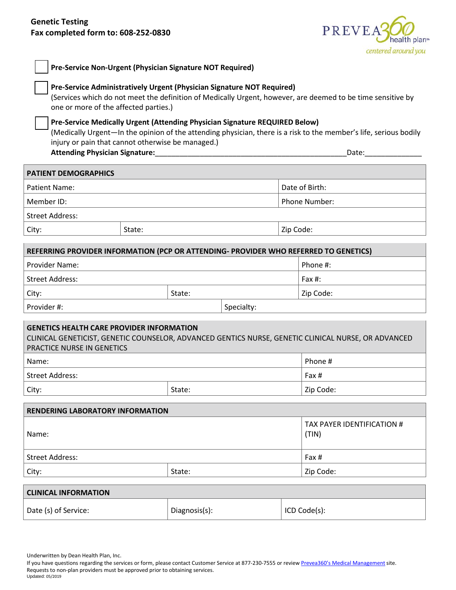

| Pre-Service Non-Urgent (Physician Signature NOT Required)                                                                                                                                                                                             |            |                                                                                                                                                                                                                                |  |  |  |
|-------------------------------------------------------------------------------------------------------------------------------------------------------------------------------------------------------------------------------------------------------|------------|--------------------------------------------------------------------------------------------------------------------------------------------------------------------------------------------------------------------------------|--|--|--|
| Pre-Service Administratively Urgent (Physician Signature NOT Required)<br>(Services which do not meet the definition of Medically Urgent, however, are deemed to be time sensitive by<br>one or more of the affected parties.)                        |            |                                                                                                                                                                                                                                |  |  |  |
| Pre-Service Medically Urgent (Attending Physician Signature REQUIRED Below)<br>(Medically Urgent—In the opinion of the attending physician, there is a risk to the member's life, serious bodily<br>injury or pain that cannot otherwise be managed.) |            |                                                                                                                                                                                                                                |  |  |  |
| <b>Attending Physician Signature:</b>                                                                                                                                                                                                                 |            | Date: the contract of the contract of the contract of the contract of the contract of the contract of the contract of the contract of the contract of the contract of the contract of the contract of the contract of the cont |  |  |  |
| <b>PATIENT DEMOGRAPHICS</b>                                                                                                                                                                                                                           |            |                                                                                                                                                                                                                                |  |  |  |
| <b>Patient Name:</b>                                                                                                                                                                                                                                  |            | Date of Birth:                                                                                                                                                                                                                 |  |  |  |
| Member ID:                                                                                                                                                                                                                                            |            | Phone Number:                                                                                                                                                                                                                  |  |  |  |
| <b>Street Address:</b>                                                                                                                                                                                                                                |            |                                                                                                                                                                                                                                |  |  |  |
| City:<br>State:                                                                                                                                                                                                                                       |            | Zip Code:                                                                                                                                                                                                                      |  |  |  |
| REFERRING PROVIDER INFORMATION (PCP OR ATTENDING- PROVIDER WHO REFERRED TO GENETICS)                                                                                                                                                                  |            |                                                                                                                                                                                                                                |  |  |  |
| Provider Name:                                                                                                                                                                                                                                        |            | Phone #:                                                                                                                                                                                                                       |  |  |  |
| <b>Street Address:</b>                                                                                                                                                                                                                                |            | Fax $#$ :                                                                                                                                                                                                                      |  |  |  |
| State:<br>City:                                                                                                                                                                                                                                       |            | Zip Code:                                                                                                                                                                                                                      |  |  |  |
| Provider #:                                                                                                                                                                                                                                           | Specialty: |                                                                                                                                                                                                                                |  |  |  |
| <b>GENETICS HEALTH CARE PROVIDER INFORMATION</b><br>CLINICAL GENETICIST, GENETIC COUNSELOR, ADVANCED GENTICS NURSE, GENETIC CLINICAL NURSE, OR ADVANCED<br>PRACTICE NURSE IN GENETICS                                                                 |            |                                                                                                                                                                                                                                |  |  |  |
| Name:                                                                                                                                                                                                                                                 |            | Phone #                                                                                                                                                                                                                        |  |  |  |
| <b>Street Address:</b>                                                                                                                                                                                                                                |            | Fax #                                                                                                                                                                                                                          |  |  |  |
| State:<br>City:                                                                                                                                                                                                                                       |            | Zip Code:                                                                                                                                                                                                                      |  |  |  |
| <b>RENDERING LABORATORY INFORMATION</b>                                                                                                                                                                                                               |            |                                                                                                                                                                                                                                |  |  |  |
| Name:                                                                                                                                                                                                                                                 |            | TAX PAYER IDENTIFICATION #<br>(TIN)                                                                                                                                                                                            |  |  |  |
| <b>Street Address:</b>                                                                                                                                                                                                                                |            | Fax #                                                                                                                                                                                                                          |  |  |  |
| State:<br>City:                                                                                                                                                                                                                                       |            | Zip Code:                                                                                                                                                                                                                      |  |  |  |
| <b>CLINICAL INFORMATION</b>                                                                                                                                                                                                                           |            |                                                                                                                                                                                                                                |  |  |  |
|                                                                                                                                                                                                                                                       |            |                                                                                                                                                                                                                                |  |  |  |

Underwritten by Dean Health Plan, Inc.

If you have questions regarding the services or form, please contact Customer Service at 877-230-7555 or revie[w Prevea360's Medical Management](https://www.prevea360.com/Document-Library/PDF/Medical-Policies/Genetic-Testing-9012.aspx) site. Requests to non-plan providers must be approved prior to obtaining services. Updated: 05/2019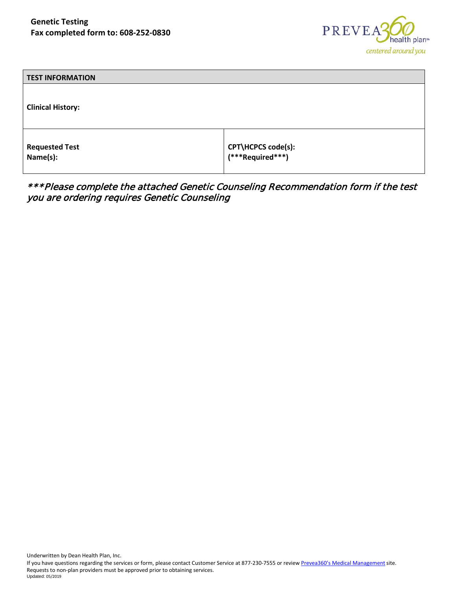

| <b>TEST INFORMATION</b>           |                                        |
|-----------------------------------|----------------------------------------|
| <b>Clinical History:</b>          |                                        |
| <b>Requested Test</b><br>Name(s): | CPT\HCPCS code(s):<br>(***Required***) |

\*\*\*Please complete the attached Genetic Counseling Recommendation form if the test you are ordering requires Genetic Counseling